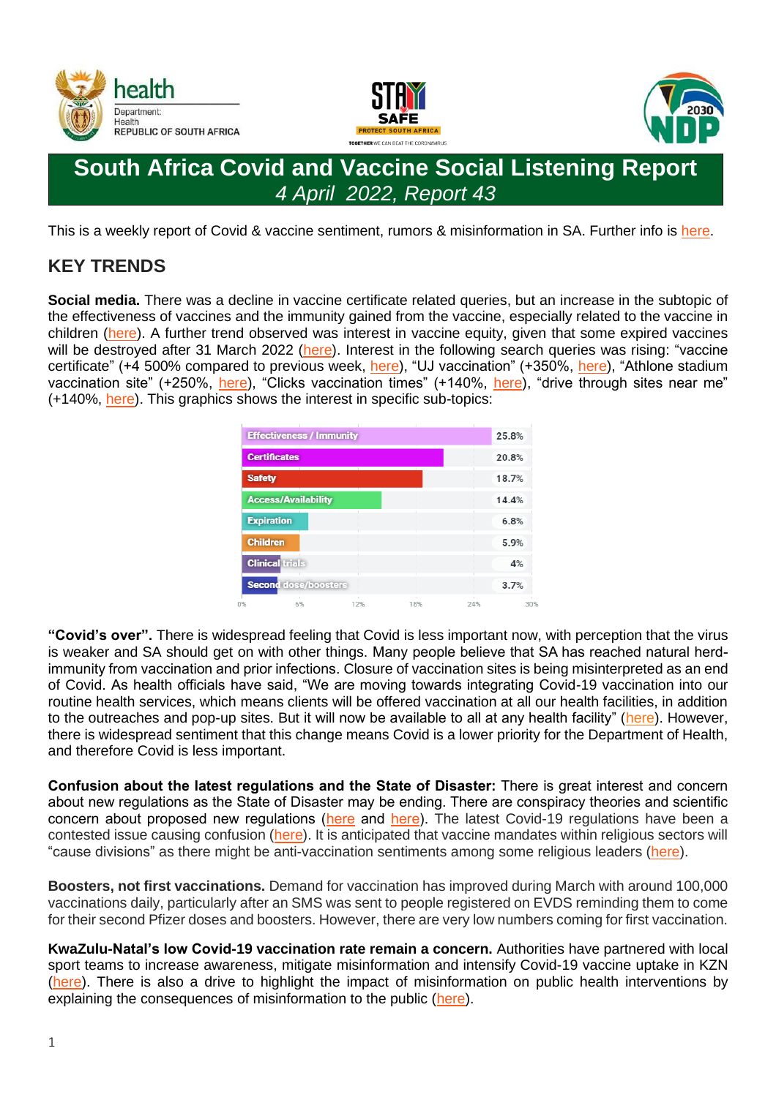





# **South Africa Covid and Vaccine Social Listening Report** *4 April 2022, Report 43*

This is a weekly report of Covid & vaccine sentiment, rumors & misinformation in SA. Further info is [here.](https://sacoronavirus.co.za/wp-content/uploads/2022/04/Collated-SL-V2-31-March-2022.pdf)

## **KEY TRENDS**

**Social media.** There was a decline in vaccine certificate related queries, but an increase in the subtopic of the effectiveness of vaccines and the immunity gained from the vaccine, especially related to the vaccine in children [\(here\)](https://childrenshealthdefense.co.za/home-page/vaccine-mandate/). A further trend observed was interest in vaccine equity, given that some expired vaccines will be destroyed after 31 March 2022 [\(here\)](https://twitter.com/MoshabelaMosa/status/1508187492675203078). Interest in the following search queries was rising: "vaccine certificate" (+4 500% compared to previous week, [here\)](https://www.uj.ac.za/wp-content/uploads/2021/12/covid-19-mandatory-vaccination-policy-19-nov2021.pdf), "UJ vaccination" (+350%, here), "Athlone stadium vaccination site" (+250%, [here\)](https://coronavirus.westerncape.gov.za/news/closure-athlone-vaccination-centre-hope-drive-through), "Clicks vaccination times" (+140%, [here\)](https://clicks.co.za/covidvaccine?gclid=Cj0KCQjw6J-SBhCrARIsAH0yMZjzGPEpBRrhMABBZ9wpfc53Fg2iJihTAK9cU-ILOC5EGRcWXfhHL7AaAid0EALw_wcB), "drive through sites near me" (+140%, [here\)](https://www.gov.za/active-vaccination-sites). This graphics shows the interest in specific sub-topics:

|                   | <b>Effectiveness / Immunity</b> |     |     |     | 25.8% |
|-------------------|---------------------------------|-----|-----|-----|-------|
|                   | <b>Certificates</b>             |     |     |     | 20.8% |
| <b>Safety</b>     |                                 |     |     |     | 18.7% |
|                   | <b>Access/Availability</b>      |     |     |     | 14.4% |
| <b>Expiration</b> |                                 |     |     |     | 6.8%  |
| <b>Children</b>   |                                 |     |     |     | 5.9%  |
|                   | <b>Clinical trials</b>          |     |     |     | 4%    |
|                   | <b>Second dose/boosters</b>     |     |     |     | 3.7%  |
|                   | 6%                              | 12% | 18% | 24% | 30    |

**"Covid's over".** There is widespread feeling that Covid is less important now, with perception that the virus is weaker and SA should get on with other things. Many people believe that SA has reached natural herdimmunity from vaccination and prior infections. Closure of vaccination sites is being misinterpreted as an end of Covid. As health officials have said, "We are moving towards integrating Covid-19 vaccination into our routine health services, which means clients will be offered vaccination at all our health facilities, in addition to the outreaches and pop-up sites. But it will now be available to all at any health facility" [\(here\)](https://www.iol.co.za/capeargus/news/the-western-capes-last-mass-covid-19-vaccination-site-has-been-closed-599e040a-3772-42bc-8fb7-33a3bbdd4858). However, there is widespread sentiment that this change means Covid is a lower priority for the Department of Health, and therefore Covid is less important.

**Confusion about the latest regulations and the State of Disaster:** There is great interest and concern about new regulations as the State of Disaster may be ending. There are conspiracy theories and scientific concern about proposed new regulations [\(here](https://www.dailymaverick.co.za/article/2022-03-22-the-incoherent-and-illogical-new-government-covid-19-regulations-are-the-real-state-of-disaster/) and [here\)](https://businesstech.co.za/news/government/566634/problems-for-south-africas-state-of-disaster-and-new-lockdown-rules-report/). The latest Covid-19 regulations have been a contested issue causing confusion [\(here\)](https://www.dailymaverick.co.za/article/2022-03-30-south-africa-aims-to-lift-state-of-disaster-by-5-april-amid-regulatory-confusion/). It is anticipated that vaccine mandates within religious sectors will "cause divisions" as there might be anti-vaccination sentiments among some religious leaders [\(here\)](https://www.jacarandafm.com/news/news/vaccine-mandates-churches-will-create-divisions-federation/).

**Boosters, not first vaccinations.** Demand for vaccination has improved during March with around 100,000 vaccinations daily, particularly after an SMS was sent to people registered on EVDS reminding them to come for their second Pfizer doses and boosters. However, there are very low numbers coming for first vaccination.

**KwaZulu-Natal's low Covid-19 vaccination rate remain a concern.** Authorities have partnered with local sport teams to increase awareness, mitigate misinformation and intensify Covid-19 vaccine uptake in KZN [\(here\)](https://sabcnews.com/kzn-health-authorities-team-up-with-soccer-legends-to-intensify-covid-19-vaccination-campaign/). There is also a drive to highlight the impact of misinformation on public health interventions by explaining the consequences of misinformation to the public [\(here\)](https://www.iol.co.za/news/only-36-of-kzn-residents-vaccinated-against-covid-19-lowest-in-south-africa-5b5a50f1-e3c7-4025-afe3-a380e8a178f2).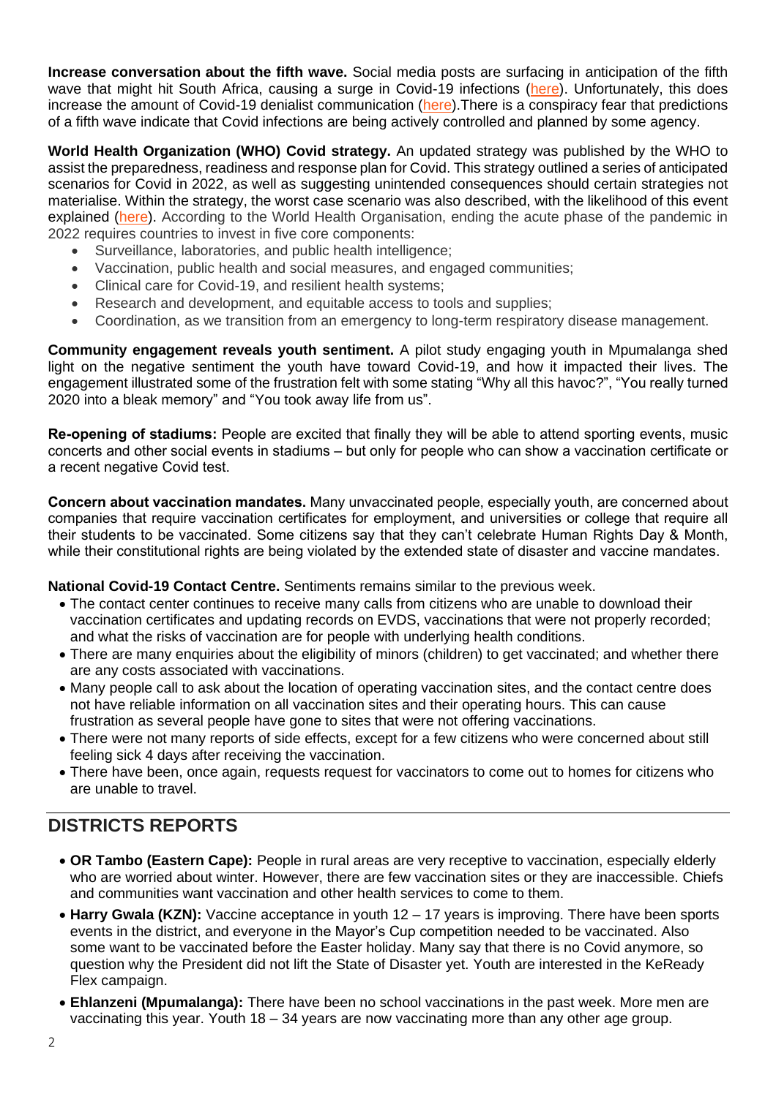**Increase conversation about the fifth wave.** Social media posts are surfacing in anticipation of the fifth wave that might hit South Africa, causing a surge in Covid-19 infections [\(here\)](https://businesstech.co.za/news/trending/572900/south-africa-faces-fifth-covid-wave-in-coming-weeks-as-deaths-pass-100000/). Unfortunately, this does increase the amount of Covid-19 denialist communication [\(here\)](https://twitter.com/DearSA_national/status/1507645455844401152).There is a conspiracy fear that predictions of a fifth wave indicate that Covid infections are being actively controlled and planned by some agency.

**World Health Organization (WHO) Covid strategy.** An updated strategy was published by the WHO to assist the preparedness, readiness and response plan for Covid. This strategy outlined a series of anticipated scenarios for Covid in 2022, as well as suggesting unintended consequences should certain strategies not materialise. Within the strategy, the worst case scenario was also described, with the likelihood of this event explained [\(here\)](https://businesstech.co.za/news/lifestyle/572932/world-health-organisation-gives-update-on-what-to-expect-from-covid-19-in-2022/). According to the World Health Organisation, ending the acute phase of the pandemic in 2022 requires countries to invest in five core components:

- Surveillance, laboratories, and public health intelligence;
- Vaccination, public health and social measures, and engaged communities;
- Clinical care for Covid-19, and resilient health systems;
- Research and development, and equitable access to tools and supplies;
- Coordination, as we transition from an emergency to long-term respiratory disease management.

**Community engagement reveals youth sentiment.** A pilot study engaging youth in Mpumalanga shed light on the negative sentiment the youth have toward Covid-19, and how it impacted their lives. The engagement illustrated some of the frustration felt with some stating "Why all this havoc?", "You really turned 2020 into a bleak memory" and "You took away life from us".

**Re-opening of stadiums:** People are excited that finally they will be able to attend sporting events, music concerts and other social events in stadiums – but only for people who can show a vaccination certificate or a recent negative Covid test.

**Concern about vaccination mandates.** Many unvaccinated people, especially youth, are concerned about companies that require vaccination certificates for employment, and universities or college that require all their students to be vaccinated. Some citizens say that they can't celebrate Human Rights Day & Month, while their constitutional rights are being violated by the extended state of disaster and vaccine mandates.

**National Covid-19 Contact Centre.** Sentiments remains similar to the previous week.

- The contact center continues to receive many calls from citizens who are unable to download their vaccination certificates and updating records on EVDS, vaccinations that were not properly recorded; and what the risks of vaccination are for people with underlying health conditions.
- There are many enquiries about the eligibility of minors (children) to get vaccinated; and whether there are any costs associated with vaccinations.
- Many people call to ask about the location of operating vaccination sites, and the contact centre does not have reliable information on all vaccination sites and their operating hours. This can cause frustration as several people have gone to sites that were not offering vaccinations.
- There were not many reports of side effects, except for a few citizens who were concerned about still feeling sick 4 days after receiving the vaccination.
- There have been, once again, requests request for vaccinators to come out to homes for citizens who are unable to travel.

## **DISTRICTS REPORTS**

- **OR Tambo (Eastern Cape):** People in rural areas are very receptive to vaccination, especially elderly who are worried about winter. However, there are few vaccination sites or they are inaccessible. Chiefs and communities want vaccination and other health services to come to them.
- **Harry Gwala (KZN):** Vaccine acceptance in youth 12 17 years is improving. There have been sports events in the district, and everyone in the Mayor's Cup competition needed to be vaccinated. Also some want to be vaccinated before the Easter holiday. Many say that there is no Covid anymore, so question why the President did not lift the State of Disaster yet. Youth are interested in the KeReady Flex campaign.
- **Ehlanzeni (Mpumalanga):** There have been no school vaccinations in the past week. More men are vaccinating this year. Youth 18 – 34 years are now vaccinating more than any other age group.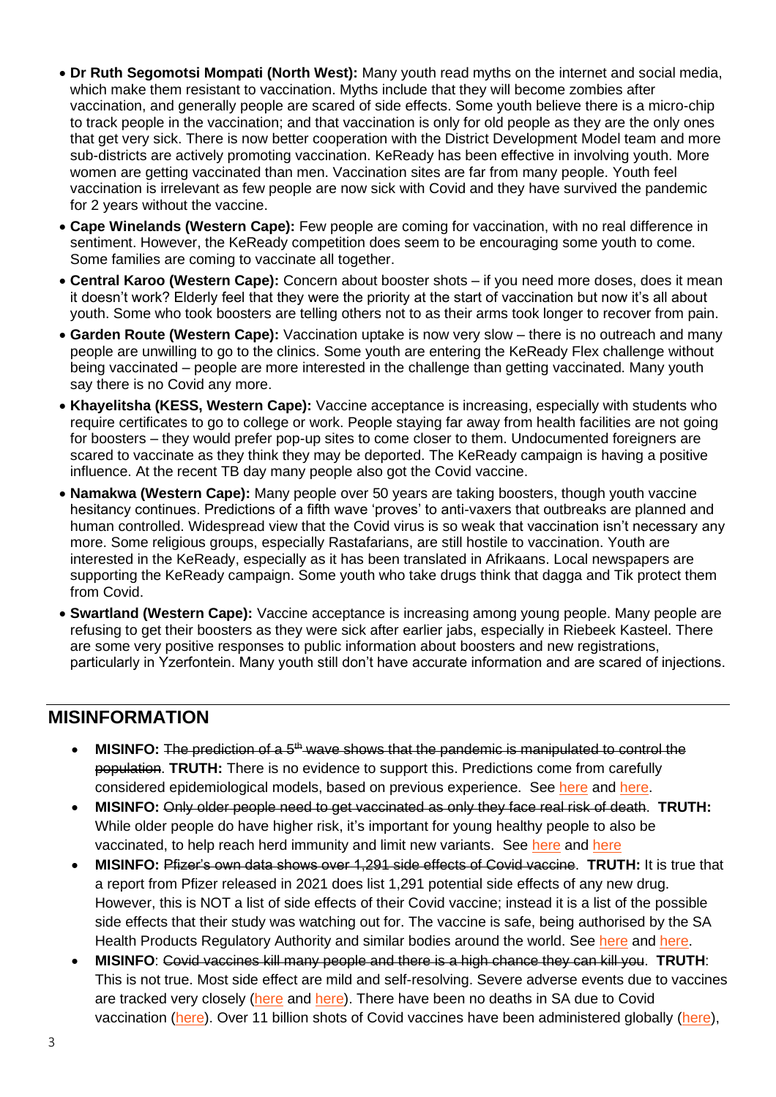- **Dr Ruth Segomotsi Mompati (North West):** Many youth read myths on the internet and social media, which make them resistant to vaccination. Myths include that they will become zombies after vaccination, and generally people are scared of side effects. Some youth believe there is a micro-chip to track people in the vaccination; and that vaccination is only for old people as they are the only ones that get very sick. There is now better cooperation with the District Development Model team and more sub-districts are actively promoting vaccination. KeReady has been effective in involving youth. More women are getting vaccinated than men. Vaccination sites are far from many people. Youth feel vaccination is irrelevant as few people are now sick with Covid and they have survived the pandemic for 2 years without the vaccine.
- **Cape Winelands (Western Cape):** Few people are coming for vaccination, with no real difference in sentiment. However, the KeReady competition does seem to be encouraging some youth to come. Some families are coming to vaccinate all together.
- **Central Karoo (Western Cape):** Concern about booster shots if you need more doses, does it mean it doesn't work? Elderly feel that they were the priority at the start of vaccination but now it's all about youth. Some who took boosters are telling others not to as their arms took longer to recover from pain.
- **Garden Route (Western Cape):** Vaccination uptake is now very slow there is no outreach and many people are unwilling to go to the clinics. Some youth are entering the KeReady Flex challenge without being vaccinated – people are more interested in the challenge than getting vaccinated. Many youth say there is no Covid any more.
- **Khayelitsha (KESS, Western Cape):** Vaccine acceptance is increasing, especially with students who require certificates to go to college or work. People staying far away from health facilities are not going for boosters – they would prefer pop-up sites to come closer to them. Undocumented foreigners are scared to vaccinate as they think they may be deported. The KeReady campaign is having a positive influence. At the recent TB day many people also got the Covid vaccine.
- **Namakwa (Western Cape):** Many people over 50 years are taking boosters, though youth vaccine hesitancy continues. Predictions of a fifth wave 'proves' to anti-vaxers that outbreaks are planned and human controlled. Widespread view that the Covid virus is so weak that vaccination isn't necessary any more. Some religious groups, especially Rastafarians, are still hostile to vaccination. Youth are interested in the KeReady, especially as it has been translated in Afrikaans. Local newspapers are supporting the KeReady campaign. Some youth who take drugs think that dagga and Tik protect them from Covid.
- **Swartland (Western Cape):** Vaccine acceptance is increasing among young people. Many people are refusing to get their boosters as they were sick after earlier jabs, especially in Riebeek Kasteel. There are some very positive responses to public information about boosters and new registrations, particularly in Yzerfontein. Many youth still don't have accurate information and are scared of injections.

### **MISINFORMATION**

- **MISINFO:** The prediction of a 5th wave shows that the pandemic is manipulated to control the population. **TRUTH:** There is no evidence to support this. Predictions come from carefully considered epidemiological models, based on previous experience. See [here](https://www.medrxiv.org/content/10.1101/2021.08.16.21262150v1.full) and [here.](https://www.unicef.org/georgia/media/4736/file/COVID-19-Study-Analytical-Report-1-st-2nd-and-3rd-waves-Eng.pdf)
- **MISINFO:** Only older people need to get vaccinated as only they face real risk of death. **TRUTH:**  While older people do have higher risk, it's important for young healthy people to also be vaccinated, to help reach herd immunity and limit new variants. See [here](https://www.cnn.com/2021/05/05/health/young-people-covid-vaccine/index.html) and here
- **MISINFO:** Pfizer's own data shows over 1,291 side effects of Covid vaccine. **TRUTH:** It is true that a report from Pfizer released in 2021 does list 1,291 potential side effects of any new drug. However, this is NOT a list of side effects of their Covid vaccine; instead it is a list of the possible side effects that their study was watching out for. The vaccine is safe, being authorised by the SA Health Products Regulatory Authority and similar bodies around the world. See [here](https://factcheck.afp.com/http%253A%252F%252Fdoc.afp.com%252F9UC4LE) and [here.](https://www.abc.net.au/news/2022-03-11/coronacheck-george-christensen-vaccinated-death-statistic/100899316)
- **MISINFO**: Covid vaccines kill many people and there is a high chance they can kill you. **TRUTH**: This is not true. Most side effect are mild and self-resolving. Severe adverse events due to vaccines are tracked very closely [\(here](https://www.sahpra.org.za/safety-information-and-updates/) and [here\)](https://www.cdc.gov/coronavirus/2019-ncov/vaccines/safety/adverse-events.html). There have been no deaths in SA due to Covid vaccination [\(here\)](https://www.bloomberg.com/graphics/covid-vaccine-tracker-global-distribution/). Over 11 billion shots of Covid vaccines have been administered globally (here),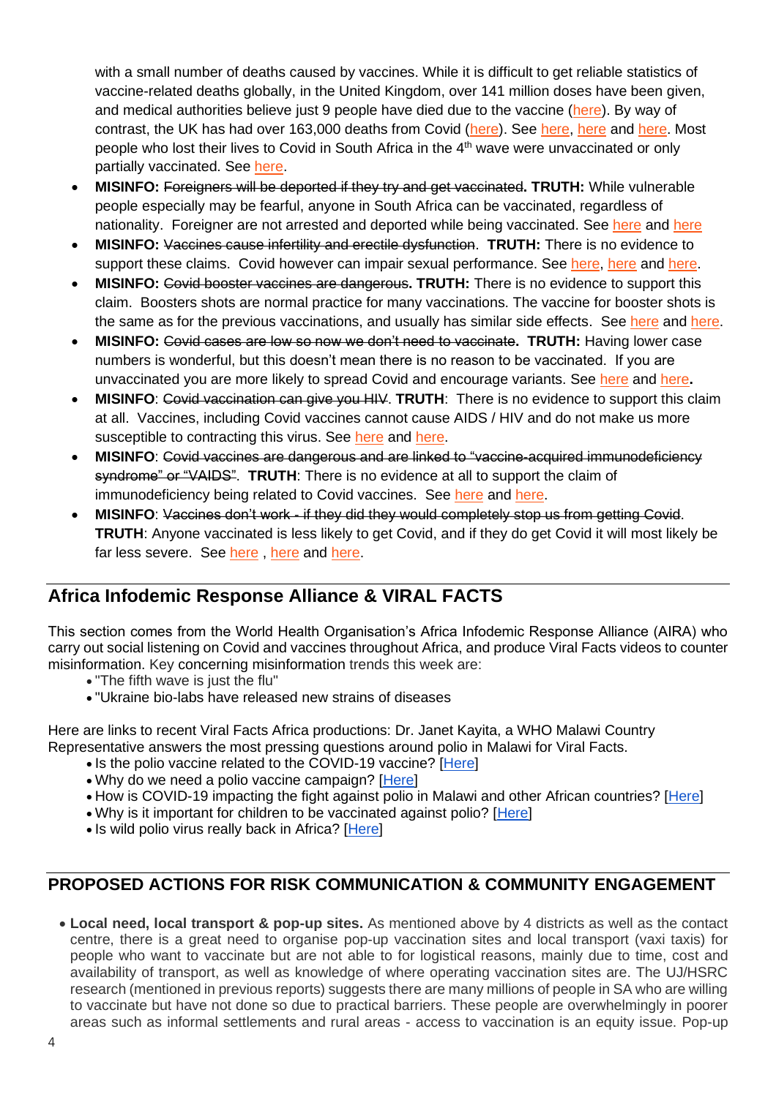with a small number of deaths caused by vaccines. While it is difficult to get reliable statistics of vaccine-related deaths globally, in the United Kingdom, over 141 million doses have been given, and medical authorities believe just 9 people have died due to the vaccine [\(here\)](https://blog.ons.gov.uk/2021/10/04/how-many-people-have-died-as-a-result-of-a-covid-19-vaccine/). By way of contrast, the UK has had over 163,000 deaths from Covid [\(here\)](https://www.worldometers.info/coronavirus/country/uk/). See [here,](https://www.nicd.ac.za/covid-19-vaccination-reporting-adverse-effects-faq/) [here](https://www.politifact.com/factchecks/2021/sep/20/facebook-posts/no-evidence-covid-19-vaccines-causing-deaths/) and [here.](https://www.reuters.com/article/factcheck-coronavirus-usa-idUSL1N2R00KP) Most people who lost their lives to Covid in South Africa in the 4<sup>th</sup> wave were unvaccinated or only partially vaccinated. See [here.](https://www.news24.com/health24/medical/infectious-diseases/coronavirus/covid-19-more-than-90-of-hospital-deaths-in-4th-wave-are-in-unvaccinated-partially-vaccinated-people-20211217)

- **MISINFO:** Foreigners will be deported if they try and get vaccinated**. TRUTH:** While vulnerable people especially may be fearful, anyone in South Africa can be vaccinated, regardless of nationality. Foreigner are not arrested and deported while being vaccinated. See [here](https://www.news24.com/witness/news/kzn/undocumented-immigrants-offered-covid-19-jab-without-risk-of-being-deported-20211009) and here
- **MISINFO:** Vaccines cause infertility and erectile dysfunction. **TRUTH:** There is no evidence to support these claims. Covid however can impair sexual performance. See [here,](https://www.hopkinsmedicine.org/health/conditions-and-diseases/coronavirus/covid-19-vaccines-myth-versus-fact) [here](https://www.reuters.com/article/factcheck-coronavirus-fertility-idUSL1N2T01TQ) and [here.](https://www.unicef.org/montenegro/en/stories/vaccine-against-covid-19-does-not-cause-sterility)
- **MISINFO:** Covid booster vaccines are dangerous**. TRUTH:** There is no evidence to support this claim. Boosters shots are normal practice for many vaccinations. The vaccine for booster shots is the same as for the previous vaccinations, and usually has similar side effects. See [here](https://www.nicd.ac.za/covid-19-vaccine-booster-shot-frequently-asked-questions/) and [here.](https://www.dw.com/en/fact-check-do-boosters-help-against-omicron/a-60092573)
- **MISINFO:** Covid cases are low so now we don't need to vaccinate**. TRUTH:** Having lower case numbers is wonderful, but this doesn't mean there is no reason to be vaccinated. If you are unvaccinated you are more likely to spread Covid and encourage variants. See [here](https://www.cnn.com/2021/07/03/health/unvaccinated-variant-factories/index.html) and [here](https://www.thelancet.com/journals/laninf/article/PIIS1473-3099(21)00648-4/fulltext)**.**
- **MISINFO**: Covid vaccination can give you HIV. **TRUTH**: There is no evidence to support this claim at all. Vaccines, including Covid vaccines cannot cause AIDS / HIV and do not make us more susceptible to contracting this virus. See [here](https://www.reuters.com/article/factcheck-boosters-hiv-idUSL1N2UM1Q0) and [here.](https://economictimes.indiatimes.com/news/india/covid-boosters-leading-to-positive-hiv-test-experts-debunk-claim/articleshow/89661269.cms)
- **MISINFO**: Covid vaccines are dangerous and are linked to "vaccine-acquired immunodeficiency syndrome" or "VAIDS". **TRUTH**: There is no evidence at all to support the claim of immunodeficiency being related to Covid vaccines. See [here](https://www.reuters.com/article/factcheck-vaids-fakes-idUSL1N2UM1C7) and [here.](https://apnews.com/article/fact-checking-330111634396)
- **MISINFO: Vaccines don't work if they did they would completely stop us from getting Covid. TRUTH**: Anyone vaccinated is less likely to get Covid, and if they do get Covid it will most likely be far less severe. See [here](https://www.npr.org/sections/health-shots/2021/09/13/1032844687/what-we-know-about-breakthrough-infections-and-long-covid), here and [here.](https://www.hopkinsmedicine.org/health/conditions-and-diseases/coronavirus/breakthrough-infections-coronavirus-after-vaccination)

## **Africa Infodemic Response Alliance & VIRAL FACTS**

This section comes from the World Health Organisation's Africa Infodemic Response Alliance (AIRA) who carry out social listening on Covid and vaccines throughout Africa, and produce Viral Facts videos to counter misinformation. Key concerning misinformation trends this week are:

- "The fifth wave is just the flu"
- "Ukraine bio-labs have released new strains of diseases

Here are links to recent Viral Facts Africa productions: Dr. Janet Kayita, a WHO Malawi Country Representative answers the most pressing questions around polio in Malawi for Viral Facts.

- Is the polio vaccine related to the COVID-19 vaccine? [\[Here\]](https://twitter.com/viralfacts/status/1507417087018516480)
- Why do we need a polio vaccine campaign? [\[Here\]](https://twitter.com/viralfacts/status/1507356805655113736)
- How is COVID-19 impacting the fight against polio in Malawi and other African countries? [\[Here\]](https://twitter.com/viralfacts/status/1507308091959828508)
- Why is it important for children to be vaccinated against polio? [\[Here\]](https://twitter.com/viralfacts/status/1506949042835804165)
- Is wild polio virus really back in Africa? [\[Here\]](https://twitter.com/viralfacts/status/1506918340459180038)

### **PROPOSED ACTIONS FOR RISK COMMUNICATION & COMMUNITY ENGAGEMENT**

• **Local need, local transport & pop-up sites.** As mentioned above by 4 districts as well as the contact centre, there is a great need to organise pop-up vaccination sites and local transport (vaxi taxis) for people who want to vaccinate but are not able to for logistical reasons, mainly due to time, cost and availability of transport, as well as knowledge of where operating vaccination sites are. The UJ/HSRC research (mentioned in previous reports) suggests there are many millions of people in SA who are willing to vaccinate but have not done so due to practical barriers. These people are overwhelmingly in poorer areas such as informal settlements and rural areas - access to vaccination is an equity issue. Pop-up